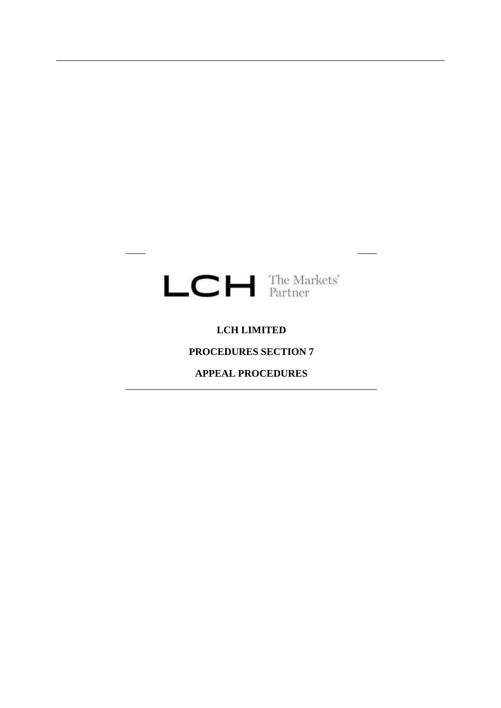

# **LCH LIMITED**

## **PROCEDURES SECTION 7**

# **APPEAL PROCEDURES**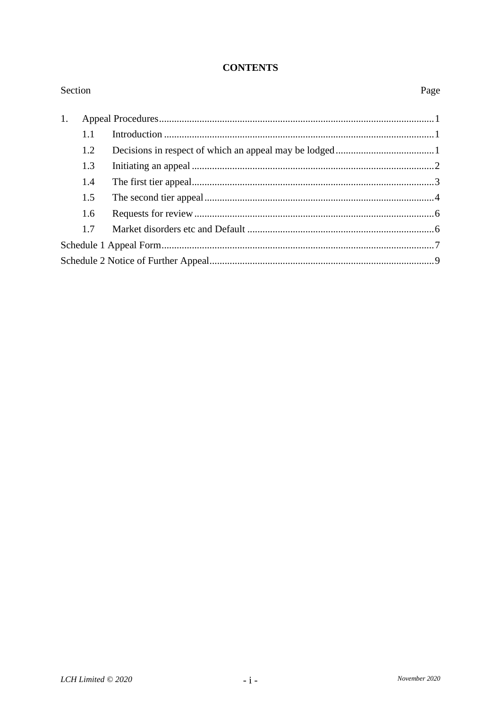#### **CONTENTS**

| Section |     |  |  |
|---------|-----|--|--|
| 1.      |     |  |  |
|         | 1.1 |  |  |
|         | 1.2 |  |  |
|         | 1.3 |  |  |
|         | 1.4 |  |  |
|         | 1.5 |  |  |
|         | 1.6 |  |  |
|         | 1.7 |  |  |
|         |     |  |  |
|         |     |  |  |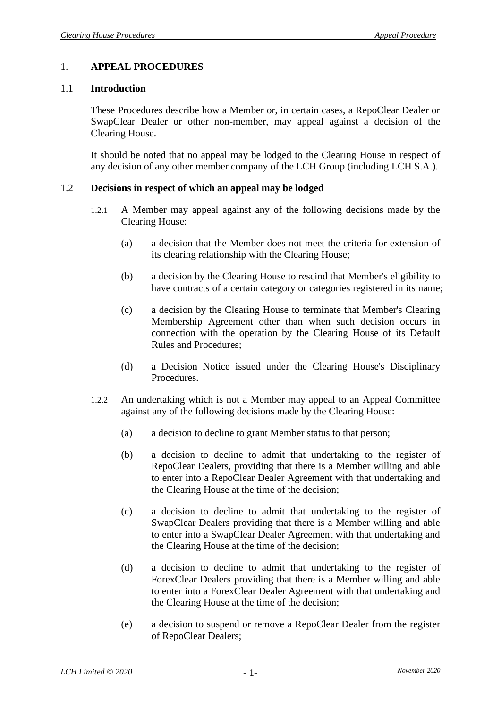## <span id="page-2-0"></span>1. **APPEAL PROCEDURES**

#### 1.1 **Introduction**

These Procedures describe how a Member or, in certain cases, a RepoClear Dealer or SwapClear Dealer or other non-member, may appeal against a decision of the Clearing House.

It should be noted that no appeal may be lodged to the Clearing House in respect of any decision of any other member company of the LCH Group (including LCH S.A.).

#### <span id="page-2-1"></span>1.2 **Decisions in respect of which an appeal may be lodged**

- 1.2.1 A Member may appeal against any of the following decisions made by the Clearing House:
	- (a) a decision that the Member does not meet the criteria for extension of its clearing relationship with the Clearing House;
	- (b) a decision by the Clearing House to rescind that Member's eligibility to have contracts of a certain category or categories registered in its name;
	- (c) a decision by the Clearing House to terminate that Member's Clearing Membership Agreement other than when such decision occurs in connection with the operation by the Clearing House of its Default Rules and Procedures;
	- (d) a Decision Notice issued under the Clearing House's Disciplinary Procedures.
- 1.2.2 An undertaking which is not a Member may appeal to an Appeal Committee against any of the following decisions made by the Clearing House:
	- (a) a decision to decline to grant Member status to that person;
	- (b) a decision to decline to admit that undertaking to the register of RepoClear Dealers, providing that there is a Member willing and able to enter into a RepoClear Dealer Agreement with that undertaking and the Clearing House at the time of the decision;
	- (c) a decision to decline to admit that undertaking to the register of SwapClear Dealers providing that there is a Member willing and able to enter into a SwapClear Dealer Agreement with that undertaking and the Clearing House at the time of the decision;
	- (d) a decision to decline to admit that undertaking to the register of ForexClear Dealers providing that there is a Member willing and able to enter into a ForexClear Dealer Agreement with that undertaking and the Clearing House at the time of the decision;
	- (e) a decision to suspend or remove a RepoClear Dealer from the register of RepoClear Dealers;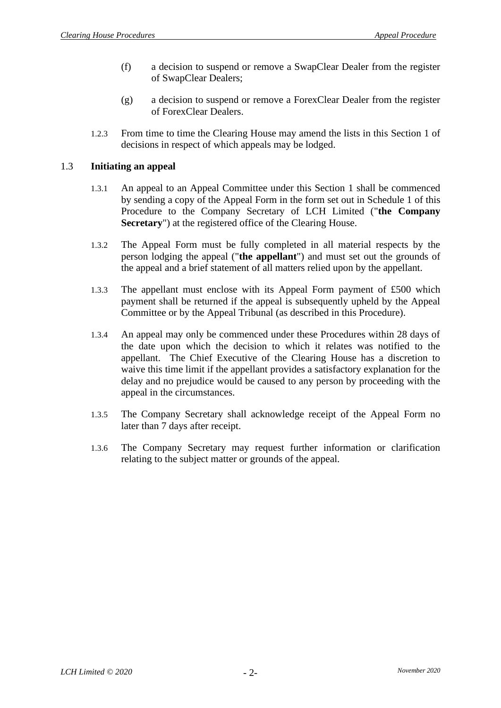- (f) a decision to suspend or remove a SwapClear Dealer from the register of SwapClear Dealers;
- (g) a decision to suspend or remove a ForexClear Dealer from the register of ForexClear Dealers.
- 1.2.3 From time to time the Clearing House may amend the lists in this Section [1](#page-2-0) of decisions in respect of which appeals may be lodged.

## <span id="page-3-0"></span>1.3 **Initiating an appeal**

- 1.3.1 An appeal to an Appeal Committee under this Section [1](#page-2-0) shall be commenced by sending a copy of the Appeal Form in the form set out in [Schedule 1](#page-8-0) of this Procedure to the Company Secretary of LCH Limited ("**the Company Secretary**") at the registered office of the Clearing House.
- 1.3.2 The Appeal Form must be fully completed in all material respects by the person lodging the appeal ("**the appellant**") and must set out the grounds of the appeal and a brief statement of all matters relied upon by the appellant.
- 1.3.3 The appellant must enclose with its Appeal Form payment of £500 which payment shall be returned if the appeal is subsequently upheld by the Appeal Committee or by the Appeal Tribunal (as described in this Procedure).
- 1.3.4 An appeal may only be commenced under these Procedures within 28 days of the date upon which the decision to which it relates was notified to the appellant. The Chief Executive of the Clearing House has a discretion to waive this time limit if the appellant provides a satisfactory explanation for the delay and no prejudice would be caused to any person by proceeding with the appeal in the circumstances.
- 1.3.5 The Company Secretary shall acknowledge receipt of the Appeal Form no later than 7 days after receipt.
- 1.3.6 The Company Secretary may request further information or clarification relating to the subject matter or grounds of the appeal.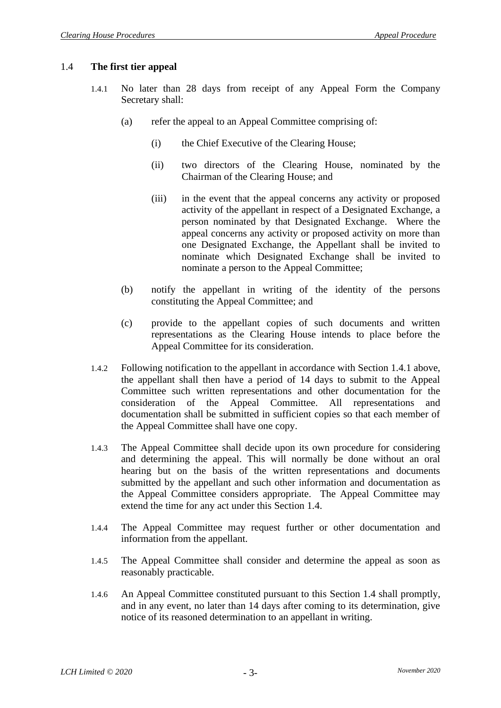## <span id="page-4-1"></span><span id="page-4-0"></span>1.4 **The first tier appeal**

- 1.4.1 No later than 28 days from receipt of any Appeal Form the Company Secretary shall:
	- (a) refer the appeal to an Appeal Committee comprising of:
		- (i) the Chief Executive of the Clearing House;
		- (ii) two directors of the Clearing House, nominated by the Chairman of the Clearing House; and
		- (iii) in the event that the appeal concerns any activity or proposed activity of the appellant in respect of a Designated Exchange, a person nominated by that Designated Exchange. Where the appeal concerns any activity or proposed activity on more than one Designated Exchange, the Appellant shall be invited to nominate which Designated Exchange shall be invited to nominate a person to the Appeal Committee;
	- (b) notify the appellant in writing of the identity of the persons constituting the Appeal Committee; and
	- (c) provide to the appellant copies of such documents and written representations as the Clearing House intends to place before the Appeal Committee for its consideration.
- <span id="page-4-3"></span>1.4.2 Following notification to the appellant in accordance with Section [1.4.1](#page-4-0) above, the appellant shall then have a period of 14 days to submit to the Appeal Committee such written representations and other documentation for the consideration of the Appeal Committee. All representations and documentation shall be submitted in sufficient copies so that each member of the Appeal Committee shall have one copy.
- 1.4.3 The Appeal Committee shall decide upon its own procedure for considering and determining the appeal. This will normally be done without an oral hearing but on the basis of the written representations and documents submitted by the appellant and such other information and documentation as the Appeal Committee considers appropriate. The Appeal Committee may extend the time for any act under this Section [1.4.](#page-4-1)
- 1.4.4 The Appeal Committee may request further or other documentation and information from the appellant.
- 1.4.5 The Appeal Committee shall consider and determine the appeal as soon as reasonably practicable.
- <span id="page-4-2"></span>1.4.6 An Appeal Committee constituted pursuant to this Section [1.4](#page-4-1) shall promptly, and in any event, no later than 14 days after coming to its determination, give notice of its reasoned determination to an appellant in writing.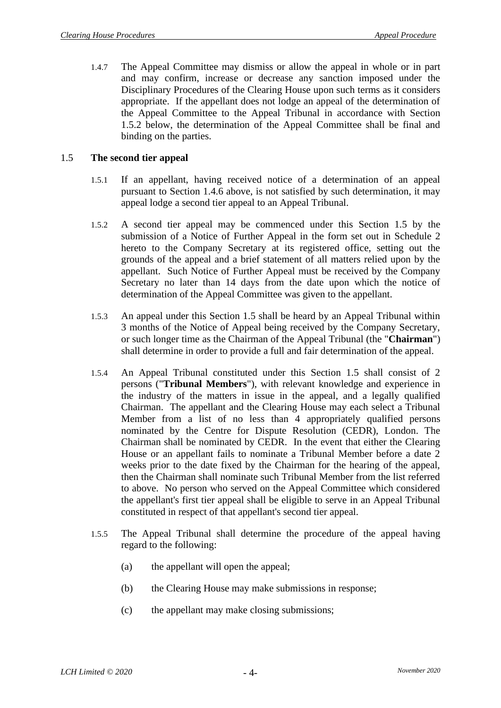1.4.7 The Appeal Committee may dismiss or allow the appeal in whole or in part and may confirm, increase or decrease any sanction imposed under the Disciplinary Procedures of the Clearing House upon such terms as it considers appropriate. If the appellant does not lodge an appeal of the determination of the Appeal Committee to the Appeal Tribunal in accordance with Section [1.5.2](#page-5-0) below, the determination of the Appeal Committee shall be final and binding on the parties.

## <span id="page-5-1"></span>1.5 **The second tier appeal**

- <span id="page-5-2"></span>1.5.1 If an appellant, having received notice of a determination of an appeal pursuant to Section [1.4.6](#page-4-2) above, is not satisfied by such determination, it may appeal lodge a second tier appeal to an Appeal Tribunal.
- <span id="page-5-0"></span>1.5.2 A second tier appeal may be commenced under this Section [1.5](#page-5-1) by the submission of a Notice of Further Appeal in the form set out in [Schedule 2](#page-10-0) hereto to the Company Secretary at its registered office, setting out the grounds of the appeal and a brief statement of all matters relied upon by the appellant. Such Notice of Further Appeal must be received by the Company Secretary no later than 14 days from the date upon which the notice of determination of the Appeal Committee was given to the appellant.
- 1.5.3 An appeal under this Section [1.5](#page-5-1) shall be heard by an Appeal Tribunal within 3 months of the Notice of Appeal being received by the Company Secretary, or such longer time as the Chairman of the Appeal Tribunal (the "**Chairman**") shall determine in order to provide a full and fair determination of the appeal.
- 1.5.4 An Appeal Tribunal constituted under this Section [1.5](#page-5-1) shall consist of 2 persons ("**Tribunal Members**"), with relevant knowledge and experience in the industry of the matters in issue in the appeal, and a legally qualified Chairman. The appellant and the Clearing House may each select a Tribunal Member from a list of no less than 4 appropriately qualified persons nominated by the Centre for Dispute Resolution (CEDR), London. The Chairman shall be nominated by CEDR. In the event that either the Clearing House or an appellant fails to nominate a Tribunal Member before a date 2 weeks prior to the date fixed by the Chairman for the hearing of the appeal, then the Chairman shall nominate such Tribunal Member from the list referred to above. No person who served on the Appeal Committee which considered the appellant's first tier appeal shall be eligible to serve in an Appeal Tribunal constituted in respect of that appellant's second tier appeal.
- 1.5.5 The Appeal Tribunal shall determine the procedure of the appeal having regard to the following:
	- (a) the appellant will open the appeal;
	- (b) the Clearing House may make submissions in response;
	- (c) the appellant may make closing submissions;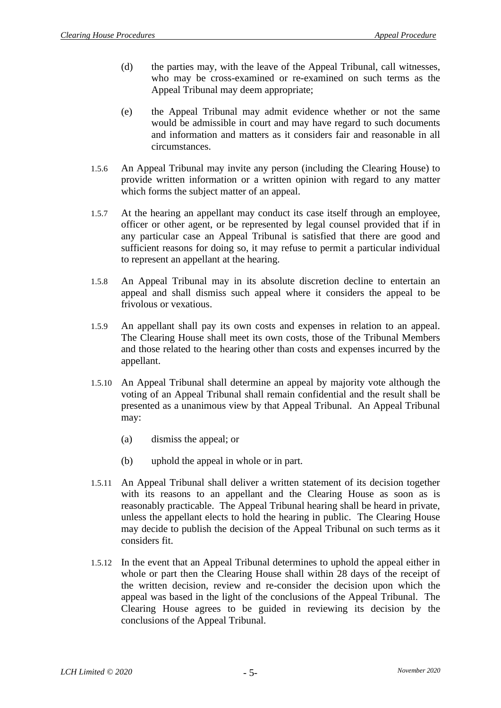- (d) the parties may, with the leave of the Appeal Tribunal, call witnesses, who may be cross-examined or re-examined on such terms as the Appeal Tribunal may deem appropriate;
- (e) the Appeal Tribunal may admit evidence whether or not the same would be admissible in court and may have regard to such documents and information and matters as it considers fair and reasonable in all circumstances.
- 1.5.6 An Appeal Tribunal may invite any person (including the Clearing House) to provide written information or a written opinion with regard to any matter which forms the subject matter of an appeal.
- 1.5.7 At the hearing an appellant may conduct its case itself through an employee, officer or other agent, or be represented by legal counsel provided that if in any particular case an Appeal Tribunal is satisfied that there are good and sufficient reasons for doing so, it may refuse to permit a particular individual to represent an appellant at the hearing.
- 1.5.8 An Appeal Tribunal may in its absolute discretion decline to entertain an appeal and shall dismiss such appeal where it considers the appeal to be frivolous or vexatious.
- 1.5.9 An appellant shall pay its own costs and expenses in relation to an appeal. The Clearing House shall meet its own costs, those of the Tribunal Members and those related to the hearing other than costs and expenses incurred by the appellant.
- 1.5.10 An Appeal Tribunal shall determine an appeal by majority vote although the voting of an Appeal Tribunal shall remain confidential and the result shall be presented as a unanimous view by that Appeal Tribunal. An Appeal Tribunal may:
	- (a) dismiss the appeal; or
	- (b) uphold the appeal in whole or in part.
- 1.5.11 An Appeal Tribunal shall deliver a written statement of its decision together with its reasons to an appellant and the Clearing House as soon as is reasonably practicable. The Appeal Tribunal hearing shall be heard in private, unless the appellant elects to hold the hearing in public. The Clearing House may decide to publish the decision of the Appeal Tribunal on such terms as it considers fit.
- 1.5.12 In the event that an Appeal Tribunal determines to uphold the appeal either in whole or part then the Clearing House shall within 28 days of the receipt of the written decision, review and re-consider the decision upon which the appeal was based in the light of the conclusions of the Appeal Tribunal. The Clearing House agrees to be guided in reviewing its decision by the conclusions of the Appeal Tribunal.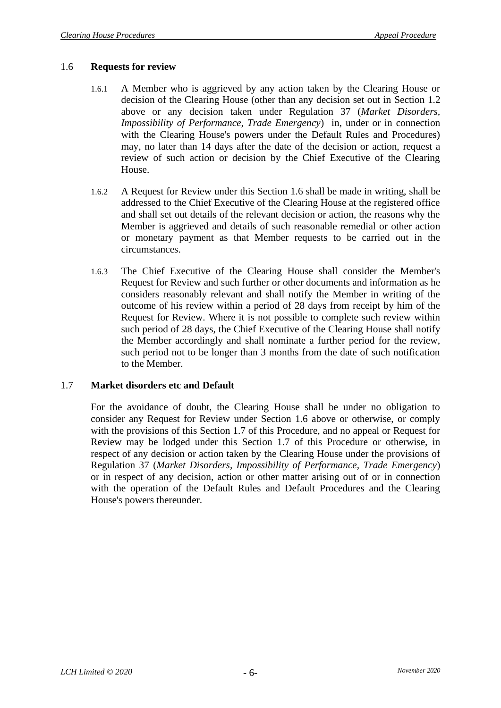#### <span id="page-7-0"></span>1.6 **Requests for review**

- 1.6.1 A Member who is aggrieved by any action taken by the Clearing House or decision of the Clearing House (other than any decision set out in Section [1.2](#page-2-1) above or any decision taken under Regulation 37 (*Market Disorders, Impossibility of Performance, Trade Emergency*) in, under or in connection with the Clearing House's powers under the Default Rules and Procedures) may, no later than 14 days after the date of the decision or action, request a review of such action or decision by the Chief Executive of the Clearing House.
- 1.6.2 A Request for Review under this Section [1.6](#page-7-0) shall be made in writing, shall be addressed to the Chief Executive of the Clearing House at the registered office and shall set out details of the relevant decision or action, the reasons why the Member is aggrieved and details of such reasonable remedial or other action or monetary payment as that Member requests to be carried out in the circumstances.
- 1.6.3 The Chief Executive of the Clearing House shall consider the Member's Request for Review and such further or other documents and information as he considers reasonably relevant and shall notify the Member in writing of the outcome of his review within a period of 28 days from receipt by him of the Request for Review. Where it is not possible to complete such review within such period of 28 days, the Chief Executive of the Clearing House shall notify the Member accordingly and shall nominate a further period for the review, such period not to be longer than 3 months from the date of such notification to the Member.

#### <span id="page-7-1"></span>1.7 **Market disorders etc and Default**

For the avoidance of doubt, the Clearing House shall be under no obligation to consider any Request for Review under Section 1.6 above or otherwise, or comply with the provisions of this Section [1.7](#page-7-1) of this Procedure, and no appeal or Request for Review may be lodged under this Section [1.7](#page-7-1) of this Procedure or otherwise, in respect of any decision or action taken by the Clearing House under the provisions of Regulation 37 (*Market Disorders, Impossibility of Performance, Trade Emergency*) or in respect of any decision, action or other matter arising out of or in connection with the operation of the Default Rules and Default Procedures and the Clearing House's powers thereunder.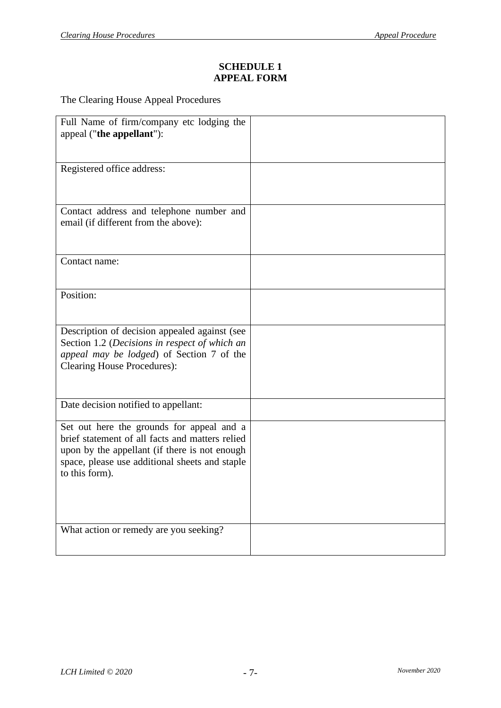# **SCHEDULE 1 APPEAL FORM**

<span id="page-8-0"></span>The Clearing House Appeal Procedures

| Full Name of firm/company etc lodging the<br>appeal ("the appellant"):                                                                                                                                            |  |
|-------------------------------------------------------------------------------------------------------------------------------------------------------------------------------------------------------------------|--|
| Registered office address:                                                                                                                                                                                        |  |
| Contact address and telephone number and<br>email (if different from the above):                                                                                                                                  |  |
| Contact name:                                                                                                                                                                                                     |  |
| Position:                                                                                                                                                                                                         |  |
| Description of decision appealed against (see<br>Section 1.2 (Decisions in respect of which an<br>appeal may be lodged) of Section 7 of the<br><b>Clearing House Procedures):</b>                                 |  |
| Date decision notified to appellant:                                                                                                                                                                              |  |
| Set out here the grounds for appeal and a<br>brief statement of all facts and matters relied<br>upon by the appellant (if there is not enough<br>space, please use additional sheets and staple<br>to this form). |  |
| What action or remedy are you seeking?                                                                                                                                                                            |  |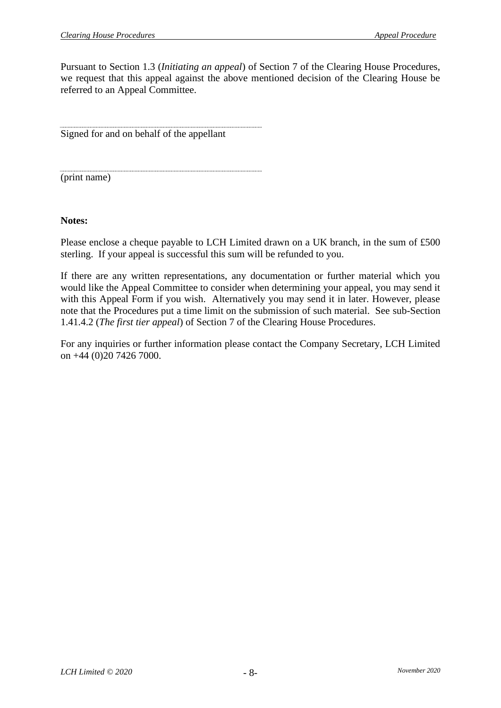Pursuant to Section [1.3](#page-3-0) (*Initiating an appeal*) of Section 7 of the Clearing House Procedures, we request that this appeal against the above mentioned decision of the Clearing House be referred to an Appeal Committee.

Signed for and on behalf of the appellant

(print name)

**Notes:**

Please enclose a cheque payable to LCH Limited drawn on a UK branch, in the sum of £500 sterling. If your appeal is successful this sum will be refunded to you.

If there are any written representations, any documentation or further material which you would like the Appeal Committee to consider when determining your appeal, you may send it with this Appeal Form if you wish. Alternatively you may send it in later. However, please note that the Procedures put a time limit on the submission of such material. See sub-Section [1.4](#page-4-1)[1.4.2](#page-4-3) (*The first tier appeal*) of Section 7 of the Clearing House Procedures.

For any inquiries or further information please contact the Company Secretary, LCH Limited on +44 (0)20 7426 7000.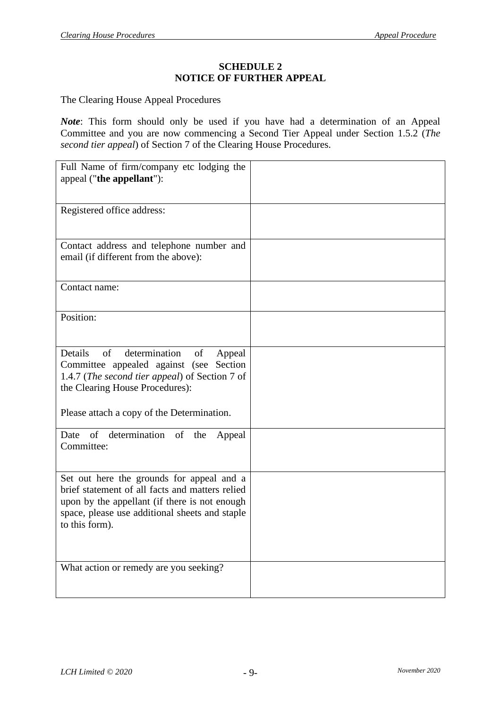#### **SCHEDULE 2 NOTICE OF FURTHER APPEAL**

<span id="page-10-0"></span>The Clearing House Appeal Procedures

*Note*: This form should only be used if you have had a determination of an Appeal Committee and you are now commencing a Second Tier Appeal under Section [1.5.2](#page-5-0) (*The second tier appeal*) of Section 7 of the Clearing House Procedures.

| Full Name of firm/company etc lodging the<br>appeal ("the appellant"):                                                                                                                                            |  |
|-------------------------------------------------------------------------------------------------------------------------------------------------------------------------------------------------------------------|--|
| Registered office address:                                                                                                                                                                                        |  |
| Contact address and telephone number and<br>email (if different from the above):                                                                                                                                  |  |
| Contact name:                                                                                                                                                                                                     |  |
| Position:                                                                                                                                                                                                         |  |
| Details<br>determination<br>of<br>of<br>Appeal<br>Committee appealed against (see Section<br>1.4.7 (The second tier appeal) of Section 7 of<br>the Clearing House Procedures):                                    |  |
| Please attach a copy of the Determination.                                                                                                                                                                        |  |
| of determination of the<br>Date<br>Appeal<br>Committee:                                                                                                                                                           |  |
| Set out here the grounds for appeal and a<br>brief statement of all facts and matters relied<br>upon by the appellant (if there is not enough<br>space, please use additional sheets and staple<br>to this form). |  |
| What action or remedy are you seeking?                                                                                                                                                                            |  |